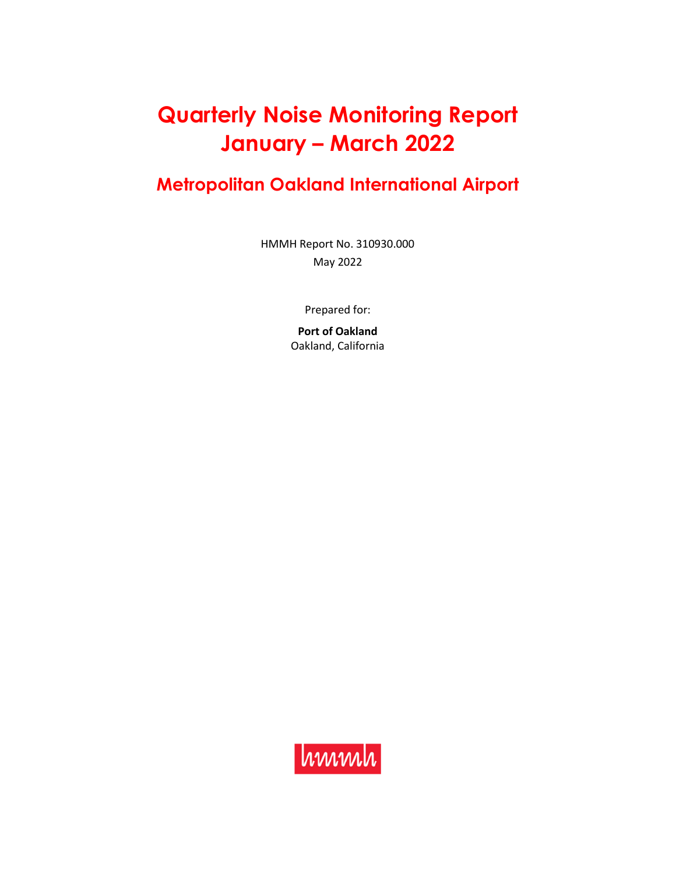# **Quarterly Noise Monitoring Report January – March 2022**

## **Metropolitan Oakland International Airport**

HMMH Report No. 310930.000 May 2022

Prepared for:

**Port of Oakland**  Oakland, California

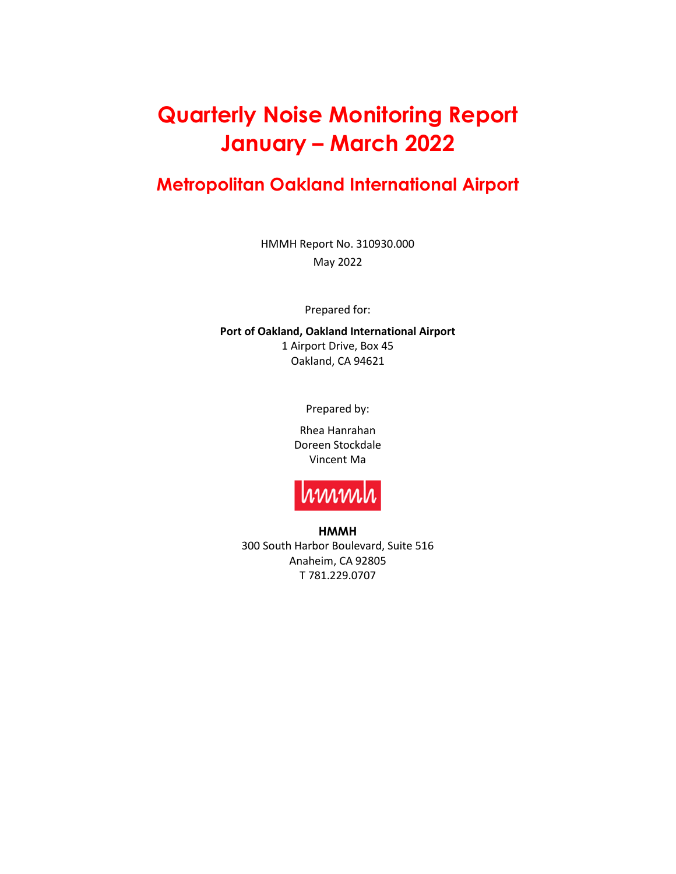# **Quarterly Noise Monitoring Report January – March 2022**

### **Metropolitan Oakland International Airport**

HMMH Report No. 310930.000 May 2022

Prepared for:

**Port of Oakland, Oakland International Airport**  1 Airport Drive, Box 45 Oakland, CA 94621

Prepared by:

Rhea Hanrahan Doreen Stockdale Vincent Ma



**HMMH**  300 South Harbor Boulevard, Suite 516 Anaheim, CA 92805 T 781.229.0707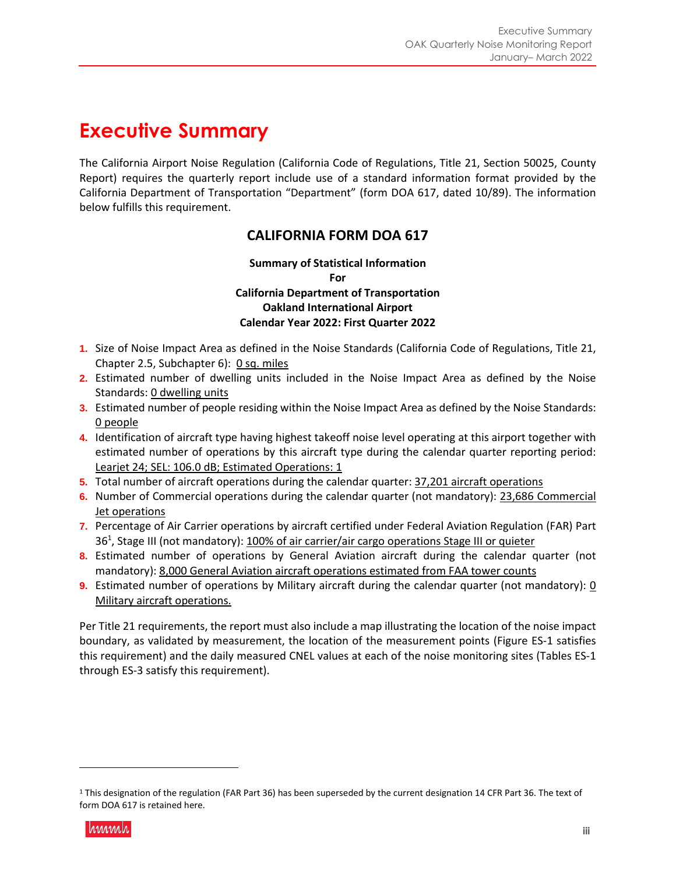## **Executive Summary**

The California Airport Noise Regulation (California Code of Regulations, Title 21, Section 50025, County Report) requires the quarterly report include use of a standard information format provided by the California Department of Transportation "Department" (form DOA 617, dated 10/89). The information below fulfills this requirement.

### **CALIFORNIA FORM DOA 617**

**Summary of Statistical Information For California Department of Transportation Oakland International Airport Calendar Year 2022: First Quarter 2022** 

- **1.** Size of Noise Impact Area as defined in the Noise Standards (California Code of Regulations, Title 21, Chapter 2.5, Subchapter 6): 0 sq. miles
- **2.** Estimated number of dwelling units included in the Noise Impact Area as defined by the Noise Standards: 0 dwelling units
- **3.** Estimated number of people residing within the Noise Impact Area as defined by the Noise Standards: 0 people
- **4.** Identification of aircraft type having highest takeoff noise level operating at this airport together with estimated number of operations by this aircraft type during the calendar quarter reporting period: Learjet 24; SEL: 106.0 dB; Estimated Operations: 1
- **5.** Total number of aircraft operations during the calendar quarter: 37,201 aircraft operations
- **6.** Number of Commercial operations during the calendar quarter (not mandatory): 23,686 Commercial Jet operations
- **7.** Percentage of Air Carrier operations by aircraft certified under Federal Aviation Regulation (FAR) Part 36<sup>1</sup>, Stage III (not mandatory): 100% of air carrier/air cargo operations Stage III or quieter
- **8.** Estimated number of operations by General Aviation aircraft during the calendar quarter (not mandatory): 8,000 General Aviation aircraft operations estimated from FAA tower counts
- **9.** Estimated number of operations by Military aircraft during the calendar quarter (not mandatory): 0 Military aircraft operations.

Per Title 21 requirements, the report must also include a map illustrating the location of the noise impact boundary, as validated by measurement, the location of the measurement points (Figure ES-1 satisfies this requirement) and the daily measured CNEL values at each of the noise monitoring sites (Tables ES-1 through ES-3 satisfy this requirement).

<sup>1</sup> This designation of the regulation (FAR Part 36) has been superseded by the current designation 14 CFR Part 36. The text of form DOA 617 is retained here.

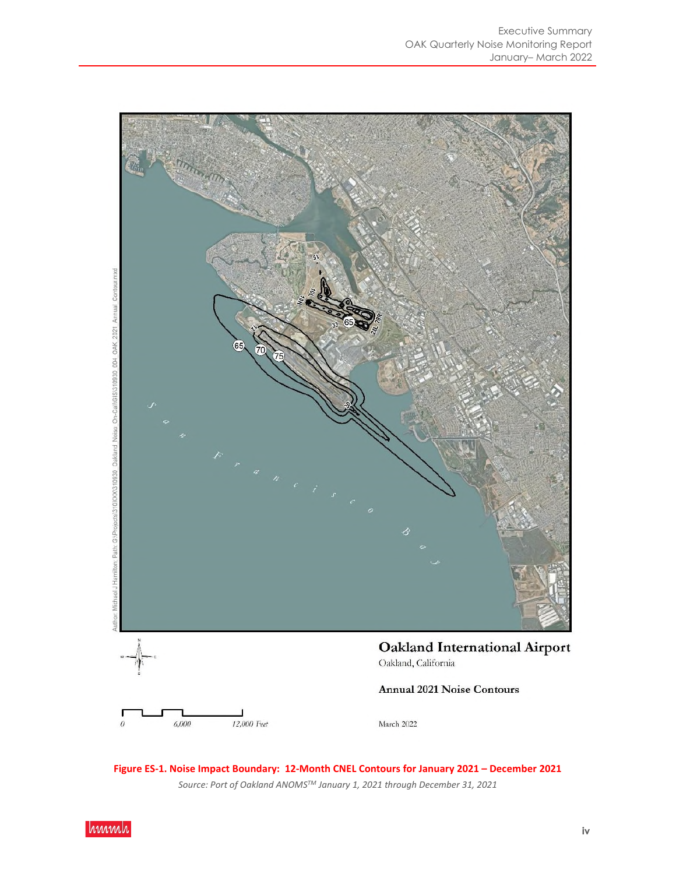

**Figure ES-1. Noise Impact Boundary: 12-Month CNEL Contours for January 2021 – December 2021**  *Source: Port of Oakland ANOMSTM January 1, 2021 through December 31, 2021* 

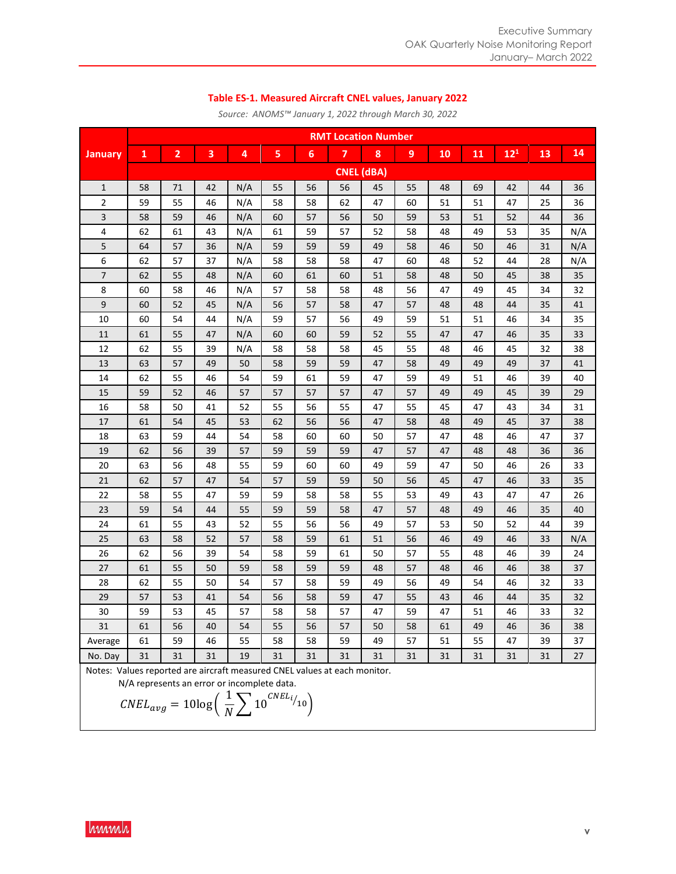#### **Table ES-1. Measured Aircraft CNEL values, January 2022**

|                | <b>RMT Location Number</b> |                |    |     |    |    |                         |                   |    |    |    |          |    |     |
|----------------|----------------------------|----------------|----|-----|----|----|-------------------------|-------------------|----|----|----|----------|----|-----|
| <b>January</b> | 1                          | $\overline{2}$ | 3  | 4   | 5  | 6  | $\overline{\mathbf{z}}$ | 8                 | 9  | 10 | 11 | $12^{1}$ | 13 | 14  |
|                |                            |                |    |     |    |    |                         | <b>CNEL (dBA)</b> |    |    |    |          |    |     |
| 1              | 58                         | 71             | 42 | N/A | 55 | 56 | 56                      | 45                | 55 | 48 | 69 | 42       | 44 | 36  |
| 2              | 59                         | 55             | 46 | N/A | 58 | 58 | 62                      | 47                | 60 | 51 | 51 | 47       | 25 | 36  |
| 3              | 58                         | 59             | 46 | N/A | 60 | 57 | 56                      | 50                | 59 | 53 | 51 | 52       | 44 | 36  |
| 4              | 62                         | 61             | 43 | N/A | 61 | 59 | 57                      | 52                | 58 | 48 | 49 | 53       | 35 | N/A |
| 5              | 64                         | 57             | 36 | N/A | 59 | 59 | 59                      | 49                | 58 | 46 | 50 | 46       | 31 | N/A |
| 6              | 62                         | 57             | 37 | N/A | 58 | 58 | 58                      | 47                | 60 | 48 | 52 | 44       | 28 | N/A |
| $\overline{7}$ | 62                         | 55             | 48 | N/A | 60 | 61 | 60                      | 51                | 58 | 48 | 50 | 45       | 38 | 35  |
| 8              | 60                         | 58             | 46 | N/A | 57 | 58 | 58                      | 48                | 56 | 47 | 49 | 45       | 34 | 32  |
| 9              | 60                         | 52             | 45 | N/A | 56 | 57 | 58                      | 47                | 57 | 48 | 48 | 44       | 35 | 41  |
| 10             | 60                         | 54             | 44 | N/A | 59 | 57 | 56                      | 49                | 59 | 51 | 51 | 46       | 34 | 35  |
| 11             | 61                         | 55             | 47 | N/A | 60 | 60 | 59                      | 52                | 55 | 47 | 47 | 46       | 35 | 33  |
| 12             | 62                         | 55             | 39 | N/A | 58 | 58 | 58                      | 45                | 55 | 48 | 46 | 45       | 32 | 38  |
| 13             | 63                         | 57             | 49 | 50  | 58 | 59 | 59                      | 47                | 58 | 49 | 49 | 49       | 37 | 41  |
| 14             | 62                         | 55             | 46 | 54  | 59 | 61 | 59                      | 47                | 59 | 49 | 51 | 46       | 39 | 40  |
| 15             | 59                         | 52             | 46 | 57  | 57 | 57 | 57                      | 47                | 57 | 49 | 49 | 45       | 39 | 29  |
| 16             | 58                         | 50             | 41 | 52  | 55 | 56 | 55                      | 47                | 55 | 45 | 47 | 43       | 34 | 31  |
| 17             | 61                         | 54             | 45 | 53  | 62 | 56 | 56                      | 47                | 58 | 48 | 49 | 45       | 37 | 38  |
| 18             | 63                         | 59             | 44 | 54  | 58 | 60 | 60                      | 50                | 57 | 47 | 48 | 46       | 47 | 37  |
| 19             | 62                         | 56             | 39 | 57  | 59 | 59 | 59                      | 47                | 57 | 47 | 48 | 48       | 36 | 36  |
| 20             | 63                         | 56             | 48 | 55  | 59 | 60 | 60                      | 49                | 59 | 47 | 50 | 46       | 26 | 33  |
| 21             | 62                         | 57             | 47 | 54  | 57 | 59 | 59                      | 50                | 56 | 45 | 47 | 46       | 33 | 35  |
| 22             | 58                         | 55             | 47 | 59  | 59 | 58 | 58                      | 55                | 53 | 49 | 43 | 47       | 47 | 26  |
| 23             | 59                         | 54             | 44 | 55  | 59 | 59 | 58                      | 47                | 57 | 48 | 49 | 46       | 35 | 40  |
| 24             | 61                         | 55             | 43 | 52  | 55 | 56 | 56                      | 49                | 57 | 53 | 50 | 52       | 44 | 39  |
| 25             | 63                         | 58             | 52 | 57  | 58 | 59 | 61                      | 51                | 56 | 46 | 49 | 46       | 33 | N/A |
| 26             | 62                         | 56             | 39 | 54  | 58 | 59 | 61                      | 50                | 57 | 55 | 48 | 46       | 39 | 24  |
| 27             | 61                         | 55             | 50 | 59  | 58 | 59 | 59                      | 48                | 57 | 48 | 46 | 46       | 38 | 37  |
| 28             | 62                         | 55             | 50 | 54  | 57 | 58 | 59                      | 49                | 56 | 49 | 54 | 46       | 32 | 33  |
| 29             | 57                         | 53             | 41 | 54  | 56 | 58 | 59                      | 47                | 55 | 43 | 46 | 44       | 35 | 32  |
| 30             | 59                         | 53             | 45 | 57  | 58 | 58 | 57                      | 47                | 59 | 47 | 51 | 46       | 33 | 32  |
| 31             | 61                         | 56             | 40 | 54  | 55 | 56 | 57                      | 50                | 58 | 61 | 49 | 46       | 36 | 38  |
| Average        | 61                         | 59             | 46 | 55  | 58 | 58 | 59                      | 49                | 57 | 51 | 55 | 47       | 39 | 37  |
| No. Day        | 31                         | 31             | 31 | 19  | 31 | 31 | 31                      | 31                | 31 | 31 | 31 | 31       | 31 | 27  |

*Source: ANOMS™ January 1, 2022 through March 30, 2022* 

Notes: Values reported are aircraft measured CNEL values at each monitor.

N/A represents an error or incomplete data.

$$
CNEL_{avg} = 10\log\left(\frac{1}{N}\sum 10^{CNEL_{i}}/_{10}\right)
$$

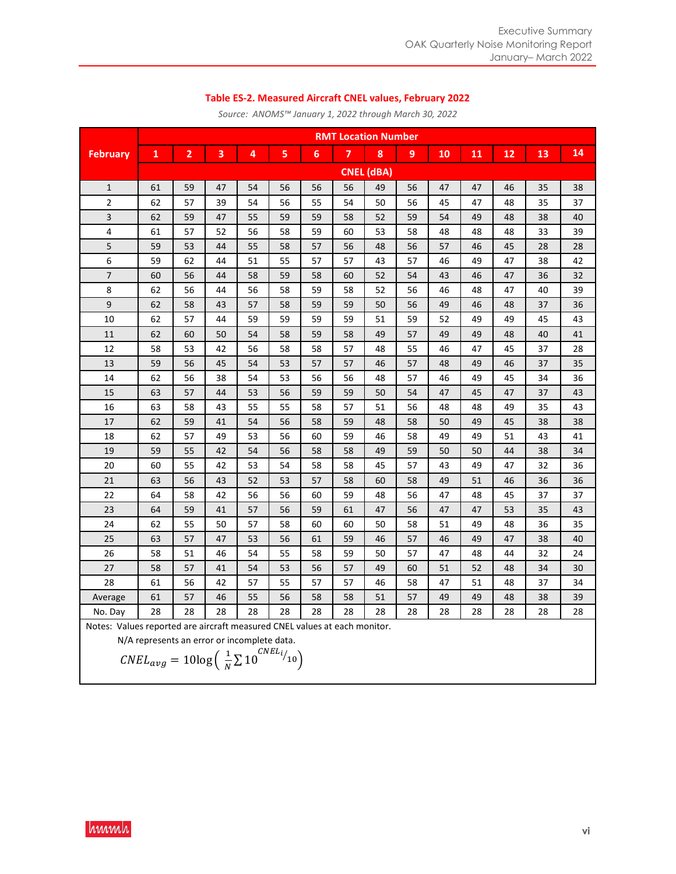#### **Table ES-2. Measured Aircraft CNEL values, February 2022**

|                 |                                                                                                                                                                                                 | <b>RMT Location Number</b> |    |    |    |    |    |    |    |    |    |    |    |    |
|-----------------|-------------------------------------------------------------------------------------------------------------------------------------------------------------------------------------------------|----------------------------|----|----|----|----|----|----|----|----|----|----|----|----|
| <b>February</b> | $\mathbf{1}$                                                                                                                                                                                    | $\overline{2}$             | 3  | 4  | 5  | 6  | 7  | 8  | 9  | 10 | 11 | 12 | 13 | 14 |
|                 |                                                                                                                                                                                                 | <b>CNEL (dBA)</b>          |    |    |    |    |    |    |    |    |    |    |    |    |
| $\mathbf{1}$    | 61                                                                                                                                                                                              | 59                         | 47 | 54 | 56 | 56 | 56 | 49 | 56 | 47 | 47 | 46 | 35 | 38 |
| 2               | 62                                                                                                                                                                                              | 57                         | 39 | 54 | 56 | 55 | 54 | 50 | 56 | 45 | 47 | 48 | 35 | 37 |
| 3               | 62                                                                                                                                                                                              | 59                         | 47 | 55 | 59 | 59 | 58 | 52 | 59 | 54 | 49 | 48 | 38 | 40 |
| 4               | 61                                                                                                                                                                                              | 57                         | 52 | 56 | 58 | 59 | 60 | 53 | 58 | 48 | 48 | 48 | 33 | 39 |
| 5               | 59                                                                                                                                                                                              | 53                         | 44 | 55 | 58 | 57 | 56 | 48 | 56 | 57 | 46 | 45 | 28 | 28 |
| 6               | 59                                                                                                                                                                                              | 62                         | 44 | 51 | 55 | 57 | 57 | 43 | 57 | 46 | 49 | 47 | 38 | 42 |
| $\overline{7}$  | 60                                                                                                                                                                                              | 56                         | 44 | 58 | 59 | 58 | 60 | 52 | 54 | 43 | 46 | 47 | 36 | 32 |
| 8               | 62                                                                                                                                                                                              | 56                         | 44 | 56 | 58 | 59 | 58 | 52 | 56 | 46 | 48 | 47 | 40 | 39 |
| 9               | 62                                                                                                                                                                                              | 58                         | 43 | 57 | 58 | 59 | 59 | 50 | 56 | 49 | 46 | 48 | 37 | 36 |
| 10              | 62                                                                                                                                                                                              | 57                         | 44 | 59 | 59 | 59 | 59 | 51 | 59 | 52 | 49 | 49 | 45 | 43 |
| 11              | 62                                                                                                                                                                                              | 60                         | 50 | 54 | 58 | 59 | 58 | 49 | 57 | 49 | 49 | 48 | 40 | 41 |
| 12              | 58                                                                                                                                                                                              | 53                         | 42 | 56 | 58 | 58 | 57 | 48 | 55 | 46 | 47 | 45 | 37 | 28 |
| 13              | 59                                                                                                                                                                                              | 56                         | 45 | 54 | 53 | 57 | 57 | 46 | 57 | 48 | 49 | 46 | 37 | 35 |
| 14              | 62                                                                                                                                                                                              | 56                         | 38 | 54 | 53 | 56 | 56 | 48 | 57 | 46 | 49 | 45 | 34 | 36 |
| 15              | 63                                                                                                                                                                                              | 57                         | 44 | 53 | 56 | 59 | 59 | 50 | 54 | 47 | 45 | 47 | 37 | 43 |
| 16              | 63                                                                                                                                                                                              | 58                         | 43 | 55 | 55 | 58 | 57 | 51 | 56 | 48 | 48 | 49 | 35 | 43 |
| 17              | 62                                                                                                                                                                                              | 59                         | 41 | 54 | 56 | 58 | 59 | 48 | 58 | 50 | 49 | 45 | 38 | 38 |
| 18              | 62                                                                                                                                                                                              | 57                         | 49 | 53 | 56 | 60 | 59 | 46 | 58 | 49 | 49 | 51 | 43 | 41 |
| 19              | 59                                                                                                                                                                                              | 55                         | 42 | 54 | 56 | 58 | 58 | 49 | 59 | 50 | 50 | 44 | 38 | 34 |
| 20              | 60                                                                                                                                                                                              | 55                         | 42 | 53 | 54 | 58 | 58 | 45 | 57 | 43 | 49 | 47 | 32 | 36 |
| 21              | 63                                                                                                                                                                                              | 56                         | 43 | 52 | 53 | 57 | 58 | 60 | 58 | 49 | 51 | 46 | 36 | 36 |
| 22              | 64                                                                                                                                                                                              | 58                         | 42 | 56 | 56 | 60 | 59 | 48 | 56 | 47 | 48 | 45 | 37 | 37 |
| 23              | 64                                                                                                                                                                                              | 59                         | 41 | 57 | 56 | 59 | 61 | 47 | 56 | 47 | 47 | 53 | 35 | 43 |
| 24              | 62                                                                                                                                                                                              | 55                         | 50 | 57 | 58 | 60 | 60 | 50 | 58 | 51 | 49 | 48 | 36 | 35 |
| 25              | 63                                                                                                                                                                                              | 57                         | 47 | 53 | 56 | 61 | 59 | 46 | 57 | 46 | 49 | 47 | 38 | 40 |
| 26              | 58                                                                                                                                                                                              | 51                         | 46 | 54 | 55 | 58 | 59 | 50 | 57 | 47 | 48 | 44 | 32 | 24 |
| 27              | 58                                                                                                                                                                                              | 57                         | 41 | 54 | 53 | 56 | 57 | 49 | 60 | 51 | 52 | 48 | 34 | 30 |
| 28              | 61                                                                                                                                                                                              | 56                         | 42 | 57 | 55 | 57 | 57 | 46 | 58 | 47 | 51 | 48 | 37 | 34 |
| Average         | 61                                                                                                                                                                                              | 57                         | 46 | 55 | 56 | 58 | 58 | 51 | 57 | 49 | 49 | 48 | 38 | 39 |
| No. Day         | 28                                                                                                                                                                                              | 28                         | 28 | 28 | 28 | 28 | 28 | 28 | 28 | 28 | 28 | 28 | 28 | 28 |
|                 | Notes: Values reported are aircraft measured CNEL values at each monitor.<br>N/A represents an error or incomplete data.<br>$CNEL_{avg} = 10\log\left(\frac{1}{N}\sum 10^{CNEL_i}/_{10}\right)$ |                            |    |    |    |    |    |    |    |    |    |    |    |    |

*Source: ANOMS™ January 1, 2022 through March 30, 2022*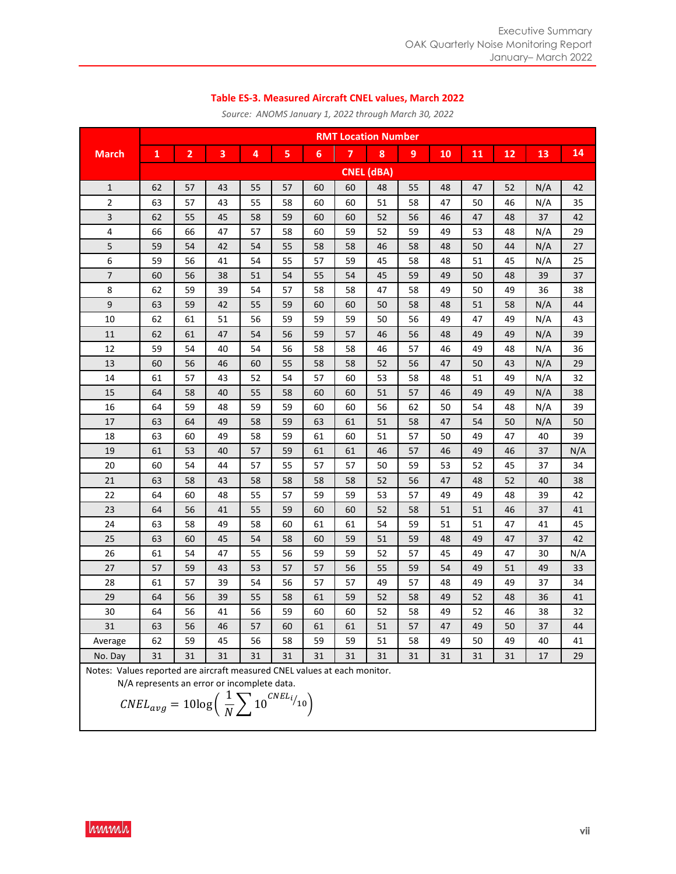#### **Table ES-3. Measured Aircraft CNEL values, March 2022**

|              | <b>RMT Location Number</b>                                                |    |    |    |    |    |    |                   |                  |    |    |    |     |     |
|--------------|---------------------------------------------------------------------------|----|----|----|----|----|----|-------------------|------------------|----|----|----|-----|-----|
| <b>March</b> | $\mathbf{1}$                                                              | 2  | 3  | 4  | 5  | 6  | 7  | 8                 | $\boldsymbol{9}$ | 10 | 11 | 12 | 13  | 14  |
|              |                                                                           |    |    |    |    |    |    | <b>CNEL (dBA)</b> |                  |    |    |    |     |     |
| $\mathbf{1}$ | 62                                                                        | 57 | 43 | 55 | 57 | 60 | 60 | 48                | 55               | 48 | 47 | 52 | N/A | 42  |
| 2            | 63                                                                        | 57 | 43 | 55 | 58 | 60 | 60 | 51                | 58               | 47 | 50 | 46 | N/A | 35  |
| 3            | 62                                                                        | 55 | 45 | 58 | 59 | 60 | 60 | 52                | 56               | 46 | 47 | 48 | 37  | 42  |
| 4            | 66                                                                        | 66 | 47 | 57 | 58 | 60 | 59 | 52                | 59               | 49 | 53 | 48 | N/A | 29  |
| 5            | 59                                                                        | 54 | 42 | 54 | 55 | 58 | 58 | 46                | 58               | 48 | 50 | 44 | N/A | 27  |
| 6            | 59                                                                        | 56 | 41 | 54 | 55 | 57 | 59 | 45                | 58               | 48 | 51 | 45 | N/A | 25  |
| 7            | 60                                                                        | 56 | 38 | 51 | 54 | 55 | 54 | 45                | 59               | 49 | 50 | 48 | 39  | 37  |
| 8            | 62                                                                        | 59 | 39 | 54 | 57 | 58 | 58 | 47                | 58               | 49 | 50 | 49 | 36  | 38  |
| 9            | 63                                                                        | 59 | 42 | 55 | 59 | 60 | 60 | 50                | 58               | 48 | 51 | 58 | N/A | 44  |
| 10           | 62                                                                        | 61 | 51 | 56 | 59 | 59 | 59 | 50                | 56               | 49 | 47 | 49 | N/A | 43  |
| 11           | 62                                                                        | 61 | 47 | 54 | 56 | 59 | 57 | 46                | 56               | 48 | 49 | 49 | N/A | 39  |
| 12           | 59                                                                        | 54 | 40 | 54 | 56 | 58 | 58 | 46                | 57               | 46 | 49 | 48 | N/A | 36  |
| 13           | 60                                                                        | 56 | 46 | 60 | 55 | 58 | 58 | 52                | 56               | 47 | 50 | 43 | N/A | 29  |
| 14           | 61                                                                        | 57 | 43 | 52 | 54 | 57 | 60 | 53                | 58               | 48 | 51 | 49 | N/A | 32  |
| 15           | 64                                                                        | 58 | 40 | 55 | 58 | 60 | 60 | 51                | 57               | 46 | 49 | 49 | N/A | 38  |
| 16           | 64                                                                        | 59 | 48 | 59 | 59 | 60 | 60 | 56                | 62               | 50 | 54 | 48 | N/A | 39  |
| 17           | 63                                                                        | 64 | 49 | 58 | 59 | 63 | 61 | 51                | 58               | 47 | 54 | 50 | N/A | 50  |
| 18           | 63                                                                        | 60 | 49 | 58 | 59 | 61 | 60 | 51                | 57               | 50 | 49 | 47 | 40  | 39  |
| 19           | 61                                                                        | 53 | 40 | 57 | 59 | 61 | 61 | 46                | 57               | 46 | 49 | 46 | 37  | N/A |
| 20           | 60                                                                        | 54 | 44 | 57 | 55 | 57 | 57 | 50                | 59               | 53 | 52 | 45 | 37  | 34  |
| 21           | 63                                                                        | 58 | 43 | 58 | 58 | 58 | 58 | 52                | 56               | 47 | 48 | 52 | 40  | 38  |
| 22           | 64                                                                        | 60 | 48 | 55 | 57 | 59 | 59 | 53                | 57               | 49 | 49 | 48 | 39  | 42  |
| 23           | 64                                                                        | 56 | 41 | 55 | 59 | 60 | 60 | 52                | 58               | 51 | 51 | 46 | 37  | 41  |
| 24           | 63                                                                        | 58 | 49 | 58 | 60 | 61 | 61 | 54                | 59               | 51 | 51 | 47 | 41  | 45  |
| 25           | 63                                                                        | 60 | 45 | 54 | 58 | 60 | 59 | 51                | 59               | 48 | 49 | 47 | 37  | 42  |
| 26           | 61                                                                        | 54 | 47 | 55 | 56 | 59 | 59 | 52                | 57               | 45 | 49 | 47 | 30  | N/A |
| 27           | 57                                                                        | 59 | 43 | 53 | 57 | 57 | 56 | 55                | 59               | 54 | 49 | 51 | 49  | 33  |
| 28           | 61                                                                        | 57 | 39 | 54 | 56 | 57 | 57 | 49                | 57               | 48 | 49 | 49 | 37  | 34  |
| 29           | 64                                                                        | 56 | 39 | 55 | 58 | 61 | 59 | 52                | 58               | 49 | 52 | 48 | 36  | 41  |
| 30           | 64                                                                        | 56 | 41 | 56 | 59 | 60 | 60 | 52                | 58               | 49 | 52 | 46 | 38  | 32  |
| 31           | 63                                                                        | 56 | 46 | 57 | 60 | 61 | 61 | 51                | 57               | 47 | 49 | 50 | 37  | 44  |
| Average      | 62                                                                        | 59 | 45 | 56 | 58 | 59 | 59 | 51                | 58               | 49 | 50 | 49 | 40  | 41  |
| No. Day      | 31                                                                        | 31 | 31 | 31 | 31 | 31 | 31 | 31                | 31               | 31 | 31 | 31 | 17  | 29  |
|              | Notes: Values reported are aircraft measured CNEL values at each monitor. |    |    |    |    |    |    |                   |                  |    |    |    |     |     |

*Source: ANOMS January 1, 2022 through March 30, 2022* 

N/A represents an error or incomplete data.

$$
CNEL_{avg} = 10\log\left(\frac{1}{N}\sum 10^{CNEL_i/10}\right)
$$

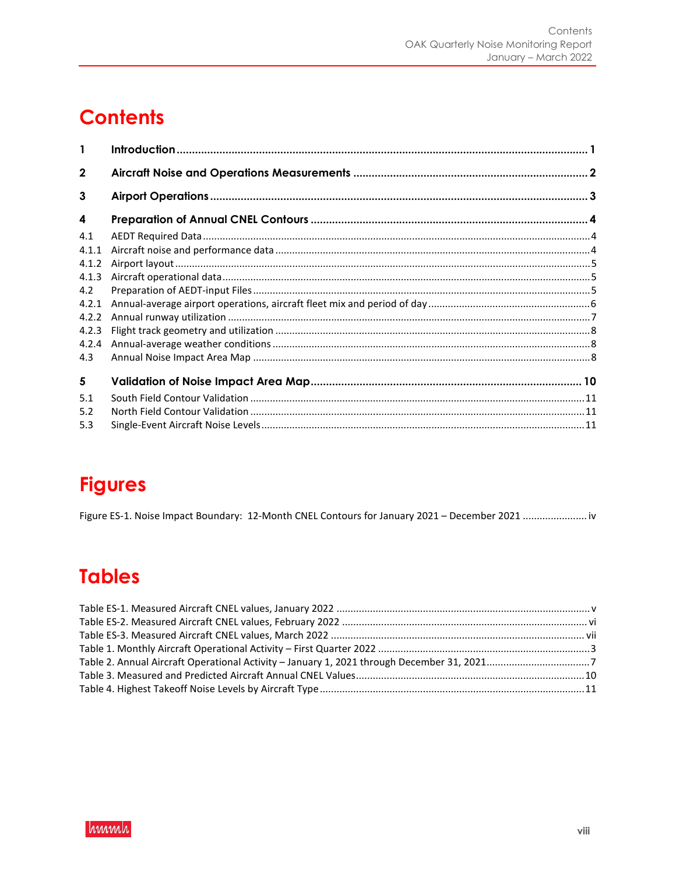# **Contents**

| 1            |  |
|--------------|--|
| $\mathbf{2}$ |  |
| 3            |  |
| 4            |  |
| 4.1          |  |
| 4.1.1        |  |
| 4.1.2        |  |
| 4.1.3        |  |
| 4.2          |  |
| 4.2.1        |  |
| 4.2.2        |  |
| 4.2.3        |  |
| 4.2.4        |  |
| 4.3          |  |
| 5            |  |
| 5.1          |  |
| 5.2          |  |
| 5.3          |  |

# **Figures**

Figure ES-1. Noise Impact Boundary: 12-Month CNEL Contours for January 2021 - December 2021 .......................iv

# **Tables**

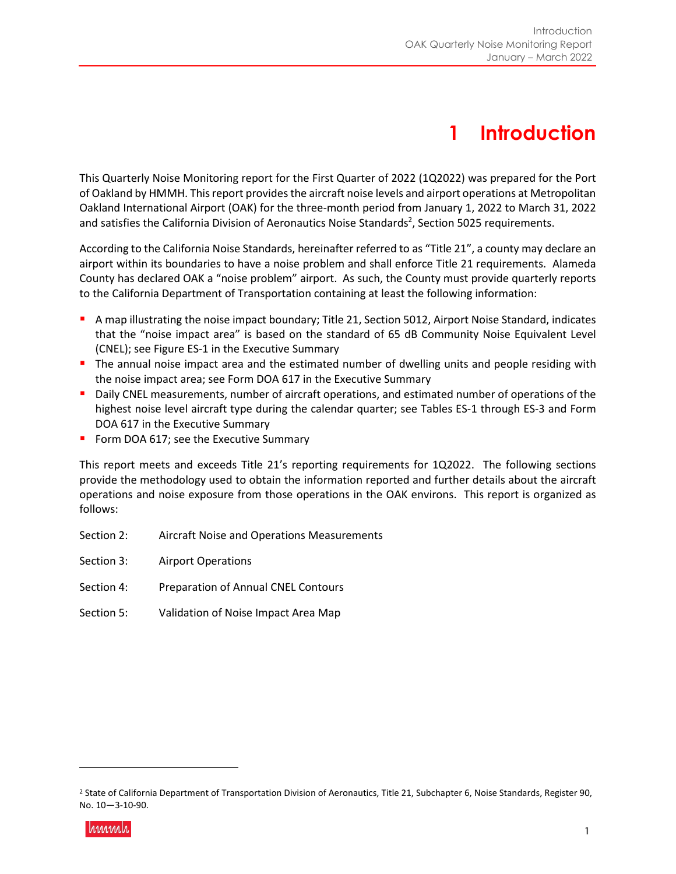## **1 Introduction**

This Quarterly Noise Monitoring report for the First Quarter of 2022 (1Q2022) was prepared for the Port of Oakland by HMMH. This report provides the aircraft noise levels and airport operations at Metropolitan Oakland International Airport (OAK) for the three-month period from January 1, 2022 to March 31, 2022 and satisfies the California Division of Aeronautics Noise Standards<sup>2</sup>, Section 5025 requirements.

According to the California Noise Standards, hereinafter referred to as "Title 21", a county may declare an airport within its boundaries to have a noise problem and shall enforce Title 21 requirements. Alameda County has declared OAK a "noise problem" airport. As such, the County must provide quarterly reports to the California Department of Transportation containing at least the following information:

- A map illustrating the noise impact boundary; Title 21, Section 5012, Airport Noise Standard, indicates that the "noise impact area" is based on the standard of 65 dB Community Noise Equivalent Level (CNEL); see Figure ES-1 in the Executive Summary
- **The annual noise impact area and the estimated number of dwelling units and people residing with** the noise impact area; see Form DOA 617 in the Executive Summary
- **Daily CNEL measurements, number of aircraft operations, and estimated number of operations of the** highest noise level aircraft type during the calendar quarter; see Tables ES-1 through ES-3 and Form DOA 617 in the Executive Summary
- Form DOA 617; see the Executive Summary

This report meets and exceeds Title 21's reporting requirements for 1Q2022. The following sections provide the methodology used to obtain the information reported and further details about the aircraft operations and noise exposure from those operations in the OAK environs. This report is organized as follows:

- Section 2: Aircraft Noise and Operations Measurements
- Section 3: Airport Operations
- Section 4: Preparation of Annual CNEL Contours
- Section 5: Validation of Noise Impact Area Map

<sup>2</sup> State of California Department of Transportation Division of Aeronautics, Title 21, Subchapter 6, Noise Standards, Register 90, No. 10—3-10-90.

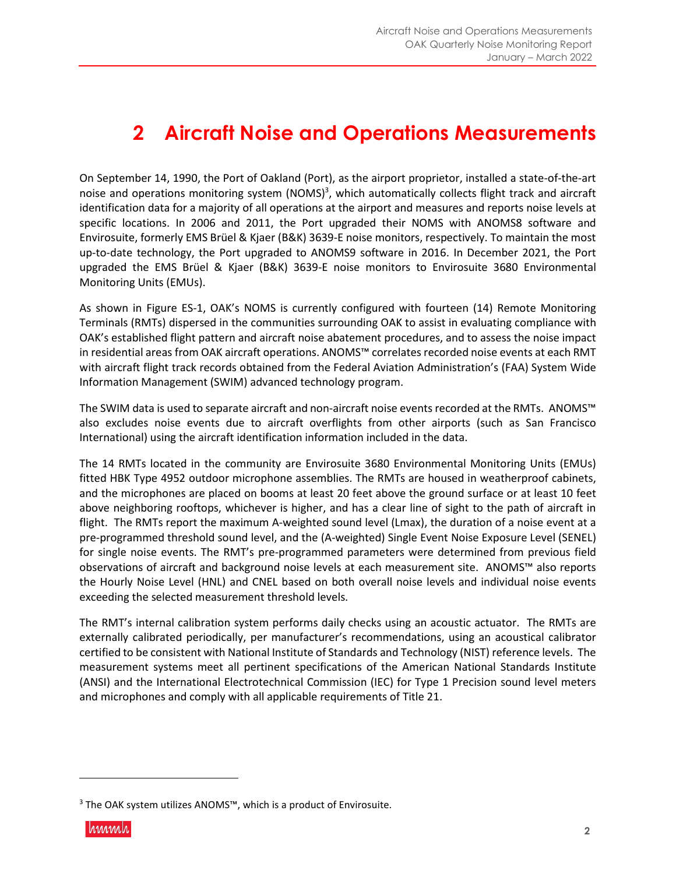## **2 Aircraft Noise and Operations Measurements**

On September 14, 1990, the Port of Oakland (Port), as the airport proprietor, installed a state-of-the-art noise and operations monitoring system (NOMS)<sup>3</sup>, which automatically collects flight track and aircraft identification data for a majority of all operations at the airport and measures and reports noise levels at specific locations. In 2006 and 2011, the Port upgraded their NOMS with ANOMS8 software and Envirosuite, formerly EMS Brüel & Kjaer (B&K) 3639-E noise monitors, respectively. To maintain the most up-to-date technology, the Port upgraded to ANOMS9 software in 2016. In December 2021, the Port upgraded the EMS Brüel & Kjaer (B&K) 3639-E noise monitors to Envirosuite 3680 Environmental Monitoring Units (EMUs).

As shown in Figure ES-1, OAK's NOMS is currently configured with fourteen (14) Remote Monitoring Terminals (RMTs) dispersed in the communities surrounding OAK to assist in evaluating compliance with OAK's established flight pattern and aircraft noise abatement procedures, and to assess the noise impact in residential areas from OAK aircraft operations. ANOMS™ correlates recorded noise events at each RMT with aircraft flight track records obtained from the Federal Aviation Administration's (FAA) System Wide Information Management (SWIM) advanced technology program.

The SWIM data is used to separate aircraft and non-aircraft noise events recorded at the RMTs. ANOMS™ also excludes noise events due to aircraft overflights from other airports (such as San Francisco International) using the aircraft identification information included in the data.

The 14 RMTs located in the community are Envirosuite 3680 Environmental Monitoring Units (EMUs) fitted HBK Type 4952 outdoor microphone assemblies. The RMTs are housed in weatherproof cabinets, and the microphones are placed on booms at least 20 feet above the ground surface or at least 10 feet above neighboring rooftops, whichever is higher, and has a clear line of sight to the path of aircraft in flight. The RMTs report the maximum A-weighted sound level (Lmax), the duration of a noise event at a pre-programmed threshold sound level, and the (A-weighted) Single Event Noise Exposure Level (SENEL) for single noise events. The RMT's pre-programmed parameters were determined from previous field observations of aircraft and background noise levels at each measurement site. ANOMS™ also reports the Hourly Noise Level (HNL) and CNEL based on both overall noise levels and individual noise events exceeding the selected measurement threshold levels.

The RMT's internal calibration system performs daily checks using an acoustic actuator. The RMTs are externally calibrated periodically, per manufacturer's recommendations, using an acoustical calibrator certified to be consistent with National Institute of Standards and Technology (NIST) reference levels. The measurement systems meet all pertinent specifications of the American National Standards Institute (ANSI) and the International Electrotechnical Commission (IEC) for Type 1 Precision sound level meters and microphones and comply with all applicable requirements of Title 21.

<sup>&</sup>lt;sup>3</sup> The OAK system utilizes ANOMS™, which is a product of Envirosuite.

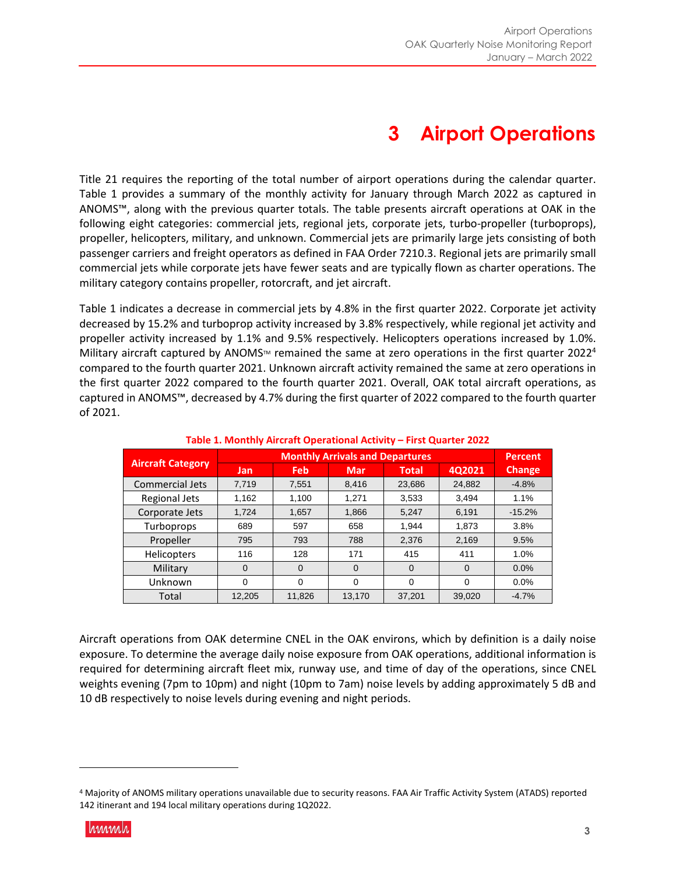## **3 Airport Operations**

Title 21 requires the reporting of the total number of airport operations during the calendar quarter. Table 1 provides a summary of the monthly activity for January through March 2022 as captured in ANOMS™, along with the previous quarter totals. The table presents aircraft operations at OAK in the following eight categories: commercial jets, regional jets, corporate jets, turbo-propeller (turboprops), propeller, helicopters, military, and unknown. Commercial jets are primarily large jets consisting of both passenger carriers and freight operators as defined in FAA Order 7210.3. Regional jets are primarily small commercial jets while corporate jets have fewer seats and are typically flown as charter operations. The military category contains propeller, rotorcraft, and jet aircraft.

Table 1 indicates a decrease in commercial jets by 4.8% in the first quarter 2022. Corporate jet activity decreased by 15.2% and turboprop activity increased by 3.8% respectively, while regional jet activity and propeller activity increased by 1.1% and 9.5% respectively. Helicopters operations increased by 1.0%. Military aircraft captured by ANOMS<sup>TM</sup> remained the same at zero operations in the first quarter 2022<sup>4</sup> compared to the fourth quarter 2021. Unknown aircraft activity remained the same at zero operations in the first quarter 2022 compared to the fourth quarter 2021. Overall, OAK total aircraft operations, as captured in ANOMS™, decreased by 4.7% during the first quarter of 2022 compared to the fourth quarter of 2021.

|                          |          |          | <b>Percent</b> |              |          |               |
|--------------------------|----------|----------|----------------|--------------|----------|---------------|
| <b>Aircraft Category</b> | Jan      | Feb      | <b>Mar</b>     | <b>Total</b> | 4Q2021   | <b>Change</b> |
| Commercial Jets          | 7.719    | 7,551    | 8.416          | 23.686       | 24,882   | $-4.8%$       |
| Regional Jets            | 1.162    | 1.100    | 1.271          | 3,533        | 3.494    | 1.1%          |
| Corporate Jets           | 1,724    | 1,657    | 1,866          | 5,247        | 6,191    | $-15.2%$      |
| Turboprops               | 689      | 597      | 658            | 1,944        | 1,873    | 3.8%          |
| Propeller                | 795      | 793      | 788            | 2.376        | 2,169    | 9.5%          |
| <b>Helicopters</b>       | 116      | 128      | 171            | 415          | 411      | 1.0%          |
| Military                 | $\Omega$ | $\Omega$ | $\Omega$       | $\Omega$     | $\Omega$ | 0.0%          |
| Unknown                  | 0        | $\Omega$ | $\Omega$       | $\Omega$     | $\Omega$ | 0.0%          |
| Total                    | 12.205   | 11.826   | 13.170         | 37.201       | 39,020   | $-4.7%$       |

#### **Table 1. Monthly Aircraft Operational Activity – First Quarter 2022**

Aircraft operations from OAK determine CNEL in the OAK environs, which by definition is a daily noise exposure. To determine the average daily noise exposure from OAK operations, additional information is required for determining aircraft fleet mix, runway use, and time of day of the operations, since CNEL weights evening (7pm to 10pm) and night (10pm to 7am) noise levels by adding approximately 5 dB and 10 dB respectively to noise levels during evening and night periods.

<sup>4</sup> Majority of ANOMS military operations unavailable due to security reasons. FAA Air Traffic Activity System (ATADS) reported 142 itinerant and 194 local military operations during 1Q2022.

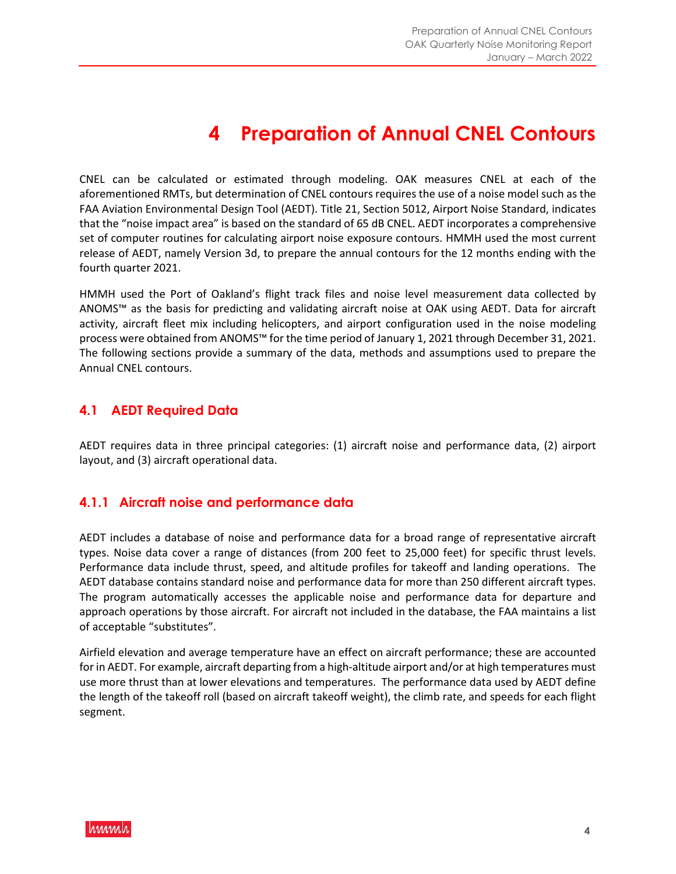## **4 Preparation of Annual CNEL Contours**

CNEL can be calculated or estimated through modeling. OAK measures CNEL at each of the aforementioned RMTs, but determination of CNEL contours requires the use of a noise model such as the FAA Aviation Environmental Design Tool (AEDT). Title 21, Section 5012, Airport Noise Standard, indicates that the "noise impact area" is based on the standard of 65 dB CNEL. AEDT incorporates a comprehensive set of computer routines for calculating airport noise exposure contours. HMMH used the most current release of AEDT, namely Version 3d, to prepare the annual contours for the 12 months ending with the fourth quarter 2021.

HMMH used the Port of Oakland's flight track files and noise level measurement data collected by ANOMS™ as the basis for predicting and validating aircraft noise at OAK using AEDT. Data for aircraft activity, aircraft fleet mix including helicopters, and airport configuration used in the noise modeling process were obtained from ANOMS™ for the time period of January 1, 2021 through December 31, 2021. The following sections provide a summary of the data, methods and assumptions used to prepare the Annual CNEL contours.

#### **4.1 AEDT Required Data**

AEDT requires data in three principal categories: (1) aircraft noise and performance data, (2) airport layout, and (3) aircraft operational data.

#### **4.1.1 Aircraft noise and performance data**

AEDT includes a database of noise and performance data for a broad range of representative aircraft types. Noise data cover a range of distances (from 200 feet to 25,000 feet) for specific thrust levels. Performance data include thrust, speed, and altitude profiles for takeoff and landing operations. The AEDT database contains standard noise and performance data for more than 250 different aircraft types. The program automatically accesses the applicable noise and performance data for departure and approach operations by those aircraft. For aircraft not included in the database, the FAA maintains a list of acceptable "substitutes".

Airfield elevation and average temperature have an effect on aircraft performance; these are accounted for in AEDT. For example, aircraft departing from a high-altitude airport and/or at high temperatures must use more thrust than at lower elevations and temperatures. The performance data used by AEDT define the length of the takeoff roll (based on aircraft takeoff weight), the climb rate, and speeds for each flight segment.

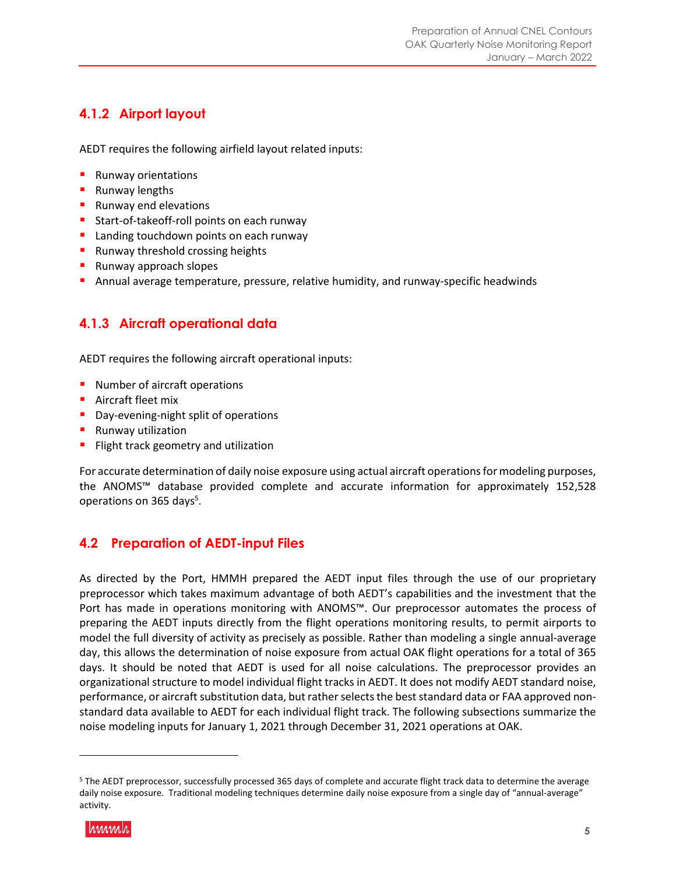### **4.1.2 Airport layout**

AEDT requires the following airfield layout related inputs:

- **Runway orientations**
- **Runway lengths**
- **Runway end elevations**
- **Start-of-takeoff-roll points on each runway**
- **Landing touchdown points on each runway**
- **Runway threshold crossing heights**
- **Runway approach slopes**
- Annual average temperature, pressure, relative humidity, and runway-specific headwinds

### **4.1.3 Aircraft operational data**

AEDT requires the following aircraft operational inputs:

- **Number of aircraft operations**
- **Aircraft fleet mix**
- **Day-evening-night split of operations**
- **Runway utilization**
- Flight track geometry and utilization

For accurate determination of daily noise exposure using actual aircraft operations for modeling purposes, the ANOMS™ database provided complete and accurate information for approximately 152,528 operations on 365 days<sup>5</sup>.

#### **4.2 Preparation of AEDT-input Files**

As directed by the Port, HMMH prepared the AEDT input files through the use of our proprietary preprocessor which takes maximum advantage of both AEDT's capabilities and the investment that the Port has made in operations monitoring with ANOMS™. Our preprocessor automates the process of preparing the AEDT inputs directly from the flight operations monitoring results, to permit airports to model the full diversity of activity as precisely as possible. Rather than modeling a single annual-average day, this allows the determination of noise exposure from actual OAK flight operations for a total of 365 days. It should be noted that AEDT is used for all noise calculations. The preprocessor provides an organizational structure to model individual flight tracks in AEDT. It does not modify AEDT standard noise, performance, or aircraft substitution data, but rather selects the best standard data or FAA approved nonstandard data available to AEDT for each individual flight track. The following subsections summarize the noise modeling inputs for January 1, 2021 through December 31, 2021 operations at OAK.

<sup>5</sup> The AEDT preprocessor, successfully processed 365 days of complete and accurate flight track data to determine the average daily noise exposure. Traditional modeling techniques determine daily noise exposure from a single day of "annual-average" activity.

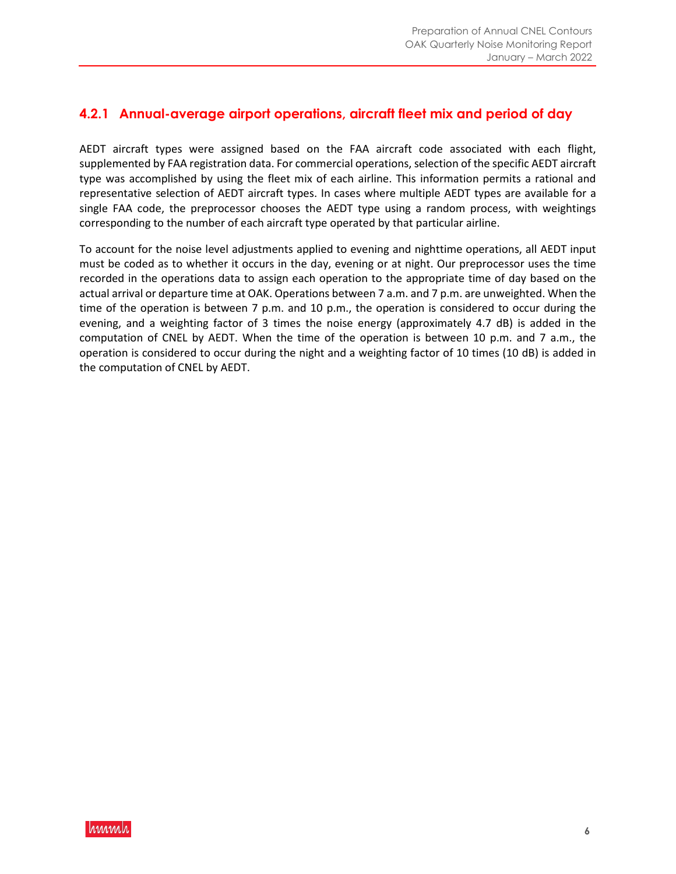#### **4.2.1 Annual-average airport operations, aircraft fleet mix and period of day**

AEDT aircraft types were assigned based on the FAA aircraft code associated with each flight, supplemented by FAA registration data. For commercial operations, selection of the specific AEDT aircraft type was accomplished by using the fleet mix of each airline. This information permits a rational and representative selection of AEDT aircraft types. In cases where multiple AEDT types are available for a single FAA code, the preprocessor chooses the AEDT type using a random process, with weightings corresponding to the number of each aircraft type operated by that particular airline.

To account for the noise level adjustments applied to evening and nighttime operations, all AEDT input must be coded as to whether it occurs in the day, evening or at night. Our preprocessor uses the time recorded in the operations data to assign each operation to the appropriate time of day based on the actual arrival or departure time at OAK. Operations between 7 a.m. and 7 p.m. are unweighted. When the time of the operation is between 7 p.m. and 10 p.m., the operation is considered to occur during the evening, and a weighting factor of 3 times the noise energy (approximately 4.7 dB) is added in the computation of CNEL by AEDT. When the time of the operation is between 10 p.m. and 7 a.m., the operation is considered to occur during the night and a weighting factor of 10 times (10 dB) is added in the computation of CNEL by AEDT.

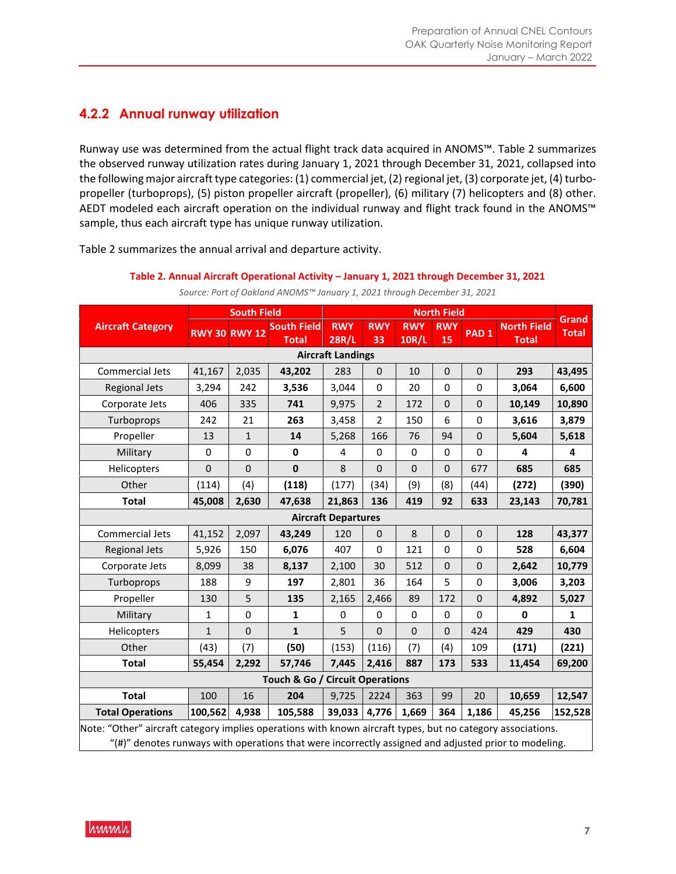### **4.2.2 Annual runway utilization**

Runway use was determined from the actual flight track data acquired in ANOMS™. Table 2 summarizes the observed runway utilization rates during January 1, 2021 through December 31, 2021, collapsed into the following major aircraft type categories: (1) commercial jet, (2) regional jet, (3) corporate jet, (4) turbopropeller (turboprops), (5) piston propeller aircraft (propeller), (6) military (7) helicopters and (8) other. AEDT modeled each aircraft operation on the individual runway and flight track found in the ANOMS™ sample, thus each aircraft type has unique runway utilization.

Table 2 summarizes the annual arrival and departure activity.

|                          |                                                                                                                                                                                                                         | <b>South Field</b>   |                                    | <b>North Field</b>         |                  |                            |                  |                  |                                    |                              |
|--------------------------|-------------------------------------------------------------------------------------------------------------------------------------------------------------------------------------------------------------------------|----------------------|------------------------------------|----------------------------|------------------|----------------------------|------------------|------------------|------------------------------------|------------------------------|
| <b>Aircraft Category</b> |                                                                                                                                                                                                                         | <b>RWY 30 RWY 12</b> | <b>South Field</b><br><b>Total</b> | <b>RWY</b><br><b>28R/L</b> | <b>RWY</b><br>33 | <b>RWY</b><br><b>10R/L</b> | <b>RWY</b><br>15 | PAD <sub>1</sub> | <b>North Field</b><br><b>Total</b> | <b>Grand</b><br><b>Total</b> |
|                          |                                                                                                                                                                                                                         |                      |                                    | <b>Aircraft Landings</b>   |                  |                            |                  |                  |                                    |                              |
| Commercial Jets          | 41,167                                                                                                                                                                                                                  | 2,035                | 43,202                             | 283                        | $\pmb{0}$        | 10                         | $\mathbf 0$      | $\pmb{0}$        | 293                                | 43,495                       |
| <b>Regional Jets</b>     | 3,294                                                                                                                                                                                                                   | 242                  | 3,536                              | 3,044                      | 0                | 20                         | 0                | 0                | 3,064                              | 6,600                        |
| Corporate Jets           | 406                                                                                                                                                                                                                     | 335                  | 741                                | 9,975                      | $\overline{2}$   | 172                        | $\mathbf 0$      | $\mathbf 0$      | 10,149                             | 10,890                       |
| Turboprops               | 242                                                                                                                                                                                                                     | 21                   | 263                                | 3,458                      | $\overline{2}$   | 150                        | 6                | 0                | 3,616                              | 3,879                        |
| Propeller                | 13                                                                                                                                                                                                                      | $\mathbf{1}$         | 14                                 | 5,268                      | 166              | 76                         | 94               | $\mathbf 0$      | 5,604                              | 5,618                        |
| Military                 | $\Omega$                                                                                                                                                                                                                | $\Omega$             | 0                                  | 4                          | $\mathbf 0$      | $\Omega$                   | $\Omega$         | 0                | 4                                  | 4                            |
| Helicopters              | $\mathbf 0$                                                                                                                                                                                                             | $\mathbf 0$          | $\bf{0}$                           | 8                          | $\mathbf 0$      | $\mathbf 0$                | $\mathbf 0$      | 677              | 685                                | 685                          |
| Other                    | (114)                                                                                                                                                                                                                   | (4)                  | (118)                              | (177)                      | (34)             | (9)                        | (8)              | (44)             | (272)                              | (390)                        |
| <b>Total</b>             | 45,008                                                                                                                                                                                                                  | 2,630                | 47,638                             | 21,863                     | 136              | 419                        | 92               | 633              | 23,143                             | 70,781                       |
|                          |                                                                                                                                                                                                                         |                      |                                    | <b>Aircraft Departures</b> |                  |                            |                  |                  |                                    |                              |
| Commercial Jets          | 41,152                                                                                                                                                                                                                  | 2,097                | 43,249                             | 120                        | $\mathbf 0$      | 8                          | $\mathbf 0$      | $\mathbf 0$      | 128                                | 43,377                       |
| <b>Regional Jets</b>     | 5,926                                                                                                                                                                                                                   | 150                  | 6,076                              | 407                        | 0                | 121                        | $\Omega$         | 0                | 528                                | 6,604                        |
| Corporate Jets           | 8,099                                                                                                                                                                                                                   | 38                   | 8,137                              | 2,100                      | 30               | 512                        | $\mathbf 0$      | $\mathbf 0$      | 2,642                              | 10,779                       |
| Turboprops               | 188                                                                                                                                                                                                                     | 9                    | 197                                | 2,801                      | 36               | 164                        | 5                | 0                | 3,006                              | 3,203                        |
| Propeller                | 130                                                                                                                                                                                                                     | 5                    | 135                                | 2,165                      | 2,466            | 89                         | 172              | $\pmb{0}$        | 4,892                              | 5,027                        |
| Military                 | $\mathbf{1}$                                                                                                                                                                                                            | 0                    | $\mathbf{1}$                       | 0                          | 0                | $\Omega$                   | $\mathbf 0$      | $\mathbf 0$      | $\mathbf 0$                        | $\mathbf{1}$                 |
| Helicopters              | $\mathbf{1}$                                                                                                                                                                                                            | $\overline{0}$       | $\mathbf{1}$                       | 5                          | $\mathbf 0$      | $\Omega$                   | $\mathbf 0$      | 424              | 429                                | 430                          |
| Other                    | (43)                                                                                                                                                                                                                    | (7)                  | (50)                               | (153)                      | (116)            | (7)                        | (4)              | 109              | (171)                              | (221)                        |
| <b>Total</b>             | 55,454                                                                                                                                                                                                                  | 2,292                | 57,746                             | 7,445                      | 2,416            | 887                        | 173              | 533              | 11,454                             | 69,200                       |
|                          |                                                                                                                                                                                                                         |                      | Touch & Go / Circuit Operations    |                            |                  |                            |                  |                  |                                    |                              |
| <b>Total</b>             | 100                                                                                                                                                                                                                     | 16                   | 204                                | 9,725                      | 2224             | 363                        | 99               | 20               | 10,659                             | 12,547                       |
| <b>Total Operations</b>  | 100,562                                                                                                                                                                                                                 | 4,938                | 105,588                            | 39,033                     | 4,776            | 1,669                      | 364              | 1,186            | 45,256                             | 152,528                      |
|                          | Note: "Other" aircraft category implies operations with known aircraft types, but no category associations.<br>" $(\#)'$ denotes runways with operations that were incorrectly assigned and adjusted prior to modeling. |                      |                                    |                            |                  |                            |                  |                  |                                    |                              |

**Table 2. Annual Aircraft Operational Activity – January 1, 2021 through December 31, 2021**  *Source: Port of Oakland ANOMS™ January 1, 2021 through December 31, 2021* 

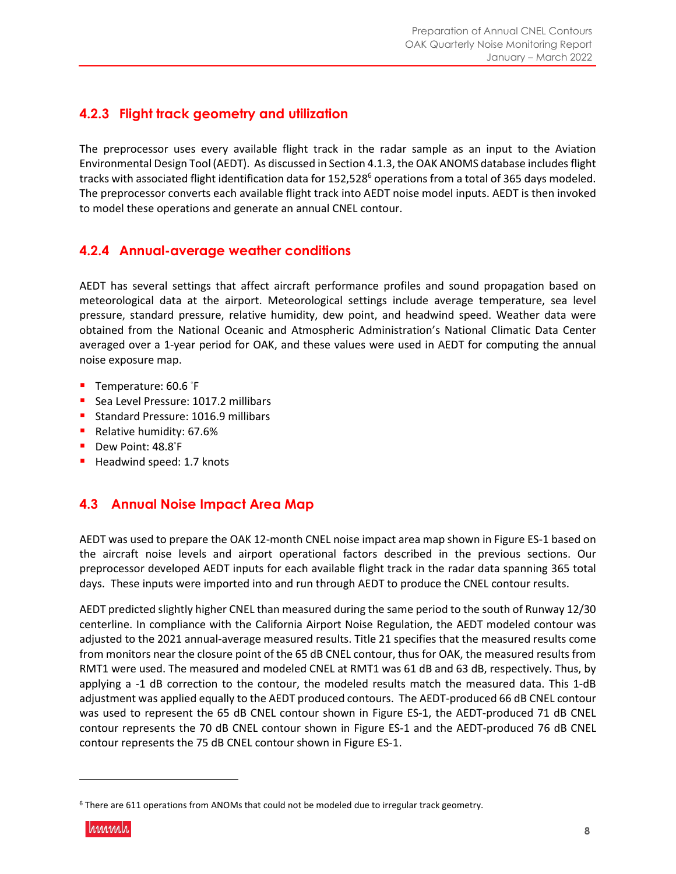### **4.2.3 Flight track geometry and utilization**

The preprocessor uses every available flight track in the radar sample as an input to the Aviation Environmental Design Tool (AEDT). As discussed in Section 4.1.3, the OAK ANOMS database includes flight tracks with associated flight identification data for 152,528<sup>6</sup> operations from a total of 365 days modeled. The preprocessor converts each available flight track into AEDT noise model inputs. AEDT is then invoked to model these operations and generate an annual CNEL contour.

#### **4.2.4 Annual-average weather conditions**

AEDT has several settings that affect aircraft performance profiles and sound propagation based on meteorological data at the airport. Meteorological settings include average temperature, sea level pressure, standard pressure, relative humidity, dew point, and headwind speed. Weather data were obtained from the National Oceanic and Atmospheric Administration's National Climatic Data Center averaged over a 1-year period for OAK, and these values were used in AEDT for computing the annual noise exposure map.

- Temperature: 60.6 °F
- Sea Level Pressure: 1017.2 millibars
- Standard Pressure: 1016.9 millibars
- Relative humidity: 67.6%
- Dew Point: 48.8<sup>°</sup>F
- Headwind speed: 1.7 knots

#### **4.3 Annual Noise Impact Area Map**

AEDT was used to prepare the OAK 12-month CNEL noise impact area map shown in Figure ES-1 based on the aircraft noise levels and airport operational factors described in the previous sections. Our preprocessor developed AEDT inputs for each available flight track in the radar data spanning 365 total days. These inputs were imported into and run through AEDT to produce the CNEL contour results.

AEDT predicted slightly higher CNEL than measured during the same period to the south of Runway 12/30 centerline. In compliance with the California Airport Noise Regulation, the AEDT modeled contour was adjusted to the 2021 annual-average measured results. Title 21 specifies that the measured results come from monitors near the closure point of the 65 dB CNEL contour, thus for OAK, the measured results from RMT1 were used. The measured and modeled CNEL at RMT1 was 61 dB and 63 dB, respectively. Thus, by applying a -1 dB correction to the contour, the modeled results match the measured data. This 1-dB adjustment was applied equally to the AEDT produced contours. The AEDT-produced 66 dB CNEL contour was used to represent the 65 dB CNEL contour shown in Figure ES-1, the AEDT-produced 71 dB CNEL contour represents the 70 dB CNEL contour shown in Figure ES-1 and the AEDT-produced 76 dB CNEL contour represents the 75 dB CNEL contour shown in Figure ES-1.

<sup>&</sup>lt;sup>6</sup> There are 611 operations from ANOMs that could not be modeled due to irregular track geometry.

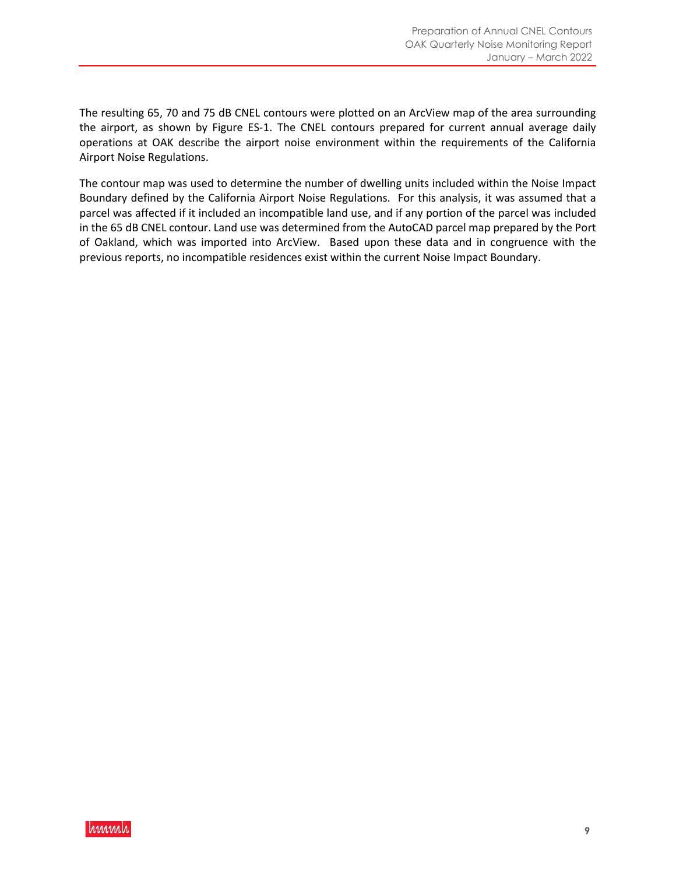The resulting 65, 70 and 75 dB CNEL contours were plotted on an ArcView map of the area surrounding the airport, as shown by Figure ES-1. The CNEL contours prepared for current annual average daily operations at OAK describe the airport noise environment within the requirements of the California Airport Noise Regulations.

The contour map was used to determine the number of dwelling units included within the Noise Impact Boundary defined by the California Airport Noise Regulations. For this analysis, it was assumed that a parcel was affected if it included an incompatible land use, and if any portion of the parcel was included in the 65 dB CNEL contour. Land use was determined from the AutoCAD parcel map prepared by the Port of Oakland, which was imported into ArcView. Based upon these data and in congruence with the previous reports, no incompatible residences exist within the current Noise Impact Boundary.

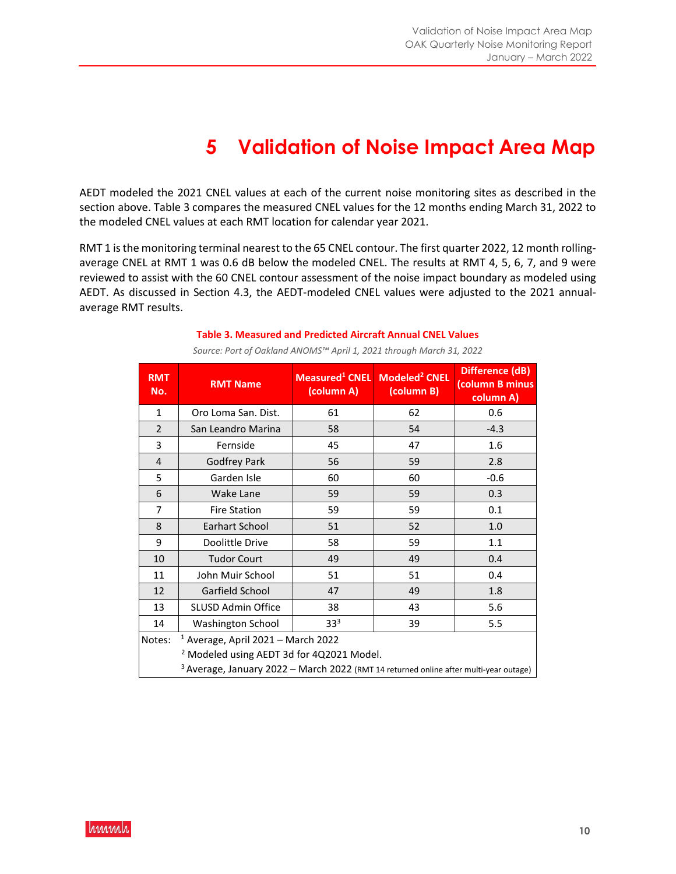## **5 Validation of Noise Impact Area Map**

AEDT modeled the 2021 CNEL values at each of the current noise monitoring sites as described in the section above. Table 3 compares the measured CNEL values for the 12 months ending March 31, 2022 to the modeled CNEL values at each RMT location for calendar year 2021.

RMT 1 is the monitoring terminal nearest to the 65 CNEL contour. The first quarter 2022, 12 month rollingaverage CNEL at RMT 1 was 0.6 dB below the modeled CNEL. The results at RMT 4, 5, 6, 7, and 9 were reviewed to assist with the 60 CNEL contour assessment of the noise impact boundary as modeled using AEDT. As discussed in Section 4.3, the AEDT-modeled CNEL values were adjusted to the 2021 annualaverage RMT results.

| <b>RMT</b><br>No.                                    | <b>RMT Name</b>                                                                         | Measured <sup>1</sup> CNEL<br>(column A) | Modeled <sup>2</sup> CNEL<br>(column B) | Difference (dB)<br>(column B minus<br>column A) |  |  |  |
|------------------------------------------------------|-----------------------------------------------------------------------------------------|------------------------------------------|-----------------------------------------|-------------------------------------------------|--|--|--|
| $\mathbf{1}$                                         | Oro Loma San, Dist.                                                                     | 61                                       | 62                                      | 0.6                                             |  |  |  |
| $\overline{2}$                                       | San Leandro Marina                                                                      | 58                                       | 54                                      | $-4.3$                                          |  |  |  |
| 3                                                    | Fernside                                                                                | 45                                       | 47                                      | 1.6                                             |  |  |  |
| $\overline{4}$                                       | <b>Godfrey Park</b>                                                                     | 56                                       | 59                                      | 2.8                                             |  |  |  |
| 5                                                    | Garden Isle                                                                             | 60                                       | 60                                      | $-0.6$                                          |  |  |  |
| 6                                                    | <b>Wake Lane</b>                                                                        | 59                                       | 59                                      | 0.3                                             |  |  |  |
| 7                                                    | <b>Fire Station</b>                                                                     | 59                                       | 59                                      | 0.1                                             |  |  |  |
| 8                                                    | Earhart School                                                                          | 51                                       | 52                                      | 1.0                                             |  |  |  |
| 9                                                    | Doolittle Drive                                                                         | 58                                       | 59                                      | 1.1                                             |  |  |  |
| 10                                                   | <b>Tudor Court</b>                                                                      | 49                                       | 49                                      | 0.4                                             |  |  |  |
| 11                                                   | John Muir School                                                                        | 51                                       | 51                                      | 0.4                                             |  |  |  |
| 12                                                   | Garfield School                                                                         | 47                                       | 49                                      | 1.8                                             |  |  |  |
| 13                                                   | <b>SLUSD Admin Office</b>                                                               | 38                                       | 43                                      | 5.6                                             |  |  |  |
| 14                                                   | <b>Washington School</b>                                                                | 33 <sup>3</sup>                          | 39                                      | 5.5                                             |  |  |  |
| Notes:                                               | $1$ Average, April 2021 – March 2022                                                    |                                          |                                         |                                                 |  |  |  |
| <sup>2</sup> Modeled using AEDT 3d for 4Q2021 Model. |                                                                                         |                                          |                                         |                                                 |  |  |  |
|                                                      | $3$ Average, January 2022 – March 2022 (RMT 14 returned online after multi-year outage) |                                          |                                         |                                                 |  |  |  |

**Table 3. Measured and Predicted Aircraft Annual CNEL Values**  *Source: Port of Oakland ANOMS™ April 1, 2021 through March 31, 2022*